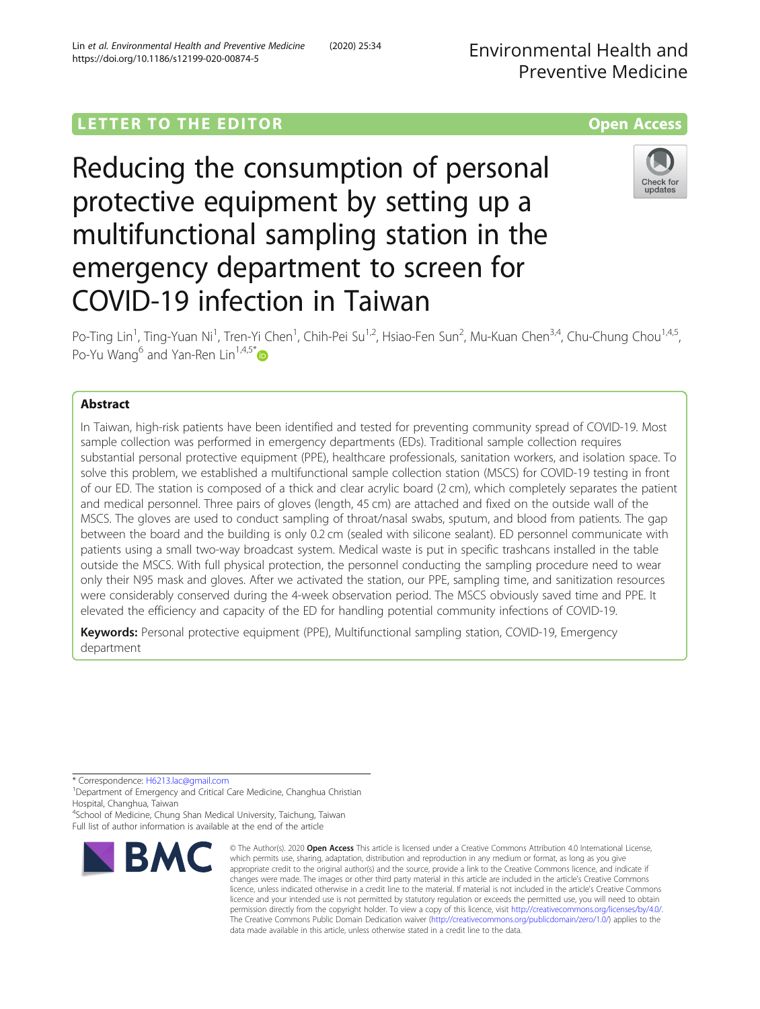Lin et al. Environmental Health and Preventive Medicine (2020) 25:34

https://doi.org/10.1186/s12199-020-00874-5

multifunctional sampling station in the

emergency department to screen for

COVID-19 infection in Taiwan

Po-Ting Lin<sup>1</sup>, Ting-Yuan Ni<sup>1</sup>, Tren-Yi Chen<sup>1</sup>, Chih-Pei Su<sup>1,2</sup>, Hsiao-Fen Sun<sup>2</sup>, Mu-Kuan Chen<sup>3,4</sup>, Chu-Chung Chou<sup>1,4,5</sup>, Po-Yu Wang<sup>6</sup> and Yan-Ren Lin<sup>1,4,5[\\*](http://orcid.org/0000-0002-9015-2678)</sup> $\bullet$ 

# **Abstract**

In Taiwan, high-risk patients have been identified and tested for preventing community spread of COVID-19. Most sample collection was performed in emergency departments (EDs). Traditional sample collection requires substantial personal protective equipment (PPE), healthcare professionals, sanitation workers, and isolation space. To solve this problem, we established a multifunctional sample collection station (MSCS) for COVID-19 testing in front of our ED. The station is composed of a thick and clear acrylic board (2 cm), which completely separates the patient and medical personnel. Three pairs of gloves (length, 45 cm) are attached and fixed on the outside wall of the MSCS. The gloves are used to conduct sampling of throat/nasal swabs, sputum, and blood from patients. The gap between the board and the building is only 0.2 cm (sealed with silicone sealant). ED personnel communicate with patients using a small two-way broadcast system. Medical waste is put in specific trashcans installed in the table outside the MSCS. With full physical protection, the personnel conducting the sampling procedure need to wear only their N95 mask and gloves. After we activated the station, our PPE, sampling time, and sanitization resources were considerably conserved during the 4-week observation period. The MSCS obviously saved time and PPE. It elevated the efficiency and capacity of the ED for handling potential community infections of COVID-19.

Keywords: Personal protective equipment (PPE), Multifunctional sampling station, COVID-19, Emergency department

\* Correspondence: [H6213.lac@gmail.com](mailto:H6213.lac@gmail.com) <sup>1</sup>

4 School of Medicine, Chung Shan Medical University, Taichung, Taiwan Full list of author information is available at the end of the article



<sup>©</sup> The Author(s), 2020 **Open Access** This article is licensed under a Creative Commons Attribution 4.0 International License, which permits use, sharing, adaptation, distribution and reproduction in any medium or format, as long as you give appropriate credit to the original author(s) and the source, provide a link to the Creative Commons licence, and indicate if changes were made. The images or other third party material in this article are included in the article's Creative Commons licence, unless indicated otherwise in a credit line to the material. If material is not included in the article's Creative Commons licence and your intended use is not permitted by statutory regulation or exceeds the permitted use, you will need to obtain permission directly from the copyright holder. To view a copy of this licence, visit [http://creativecommons.org/licenses/by/4.0/.](http://creativecommons.org/licenses/by/4.0/) The Creative Commons Public Domain Dedication waiver [\(http://creativecommons.org/publicdomain/zero/1.0/](http://creativecommons.org/publicdomain/zero/1.0/)) applies to the data made available in this article, unless otherwise stated in a credit line to the data.



<sup>&</sup>lt;sup>1</sup>Department of Emergency and Critical Care Medicine, Changhua Christian Hospital, Changhua, Taiwan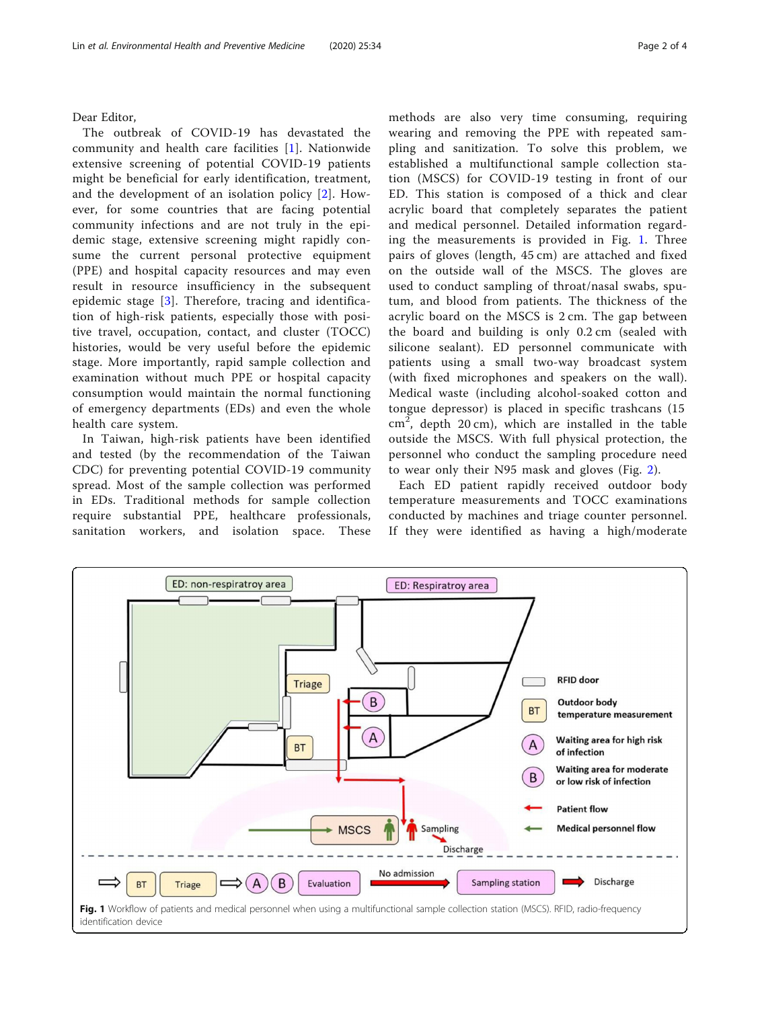Dear Editor,

The outbreak of COVID-19 has devastated the community and health care facilities [\[1](#page-3-0)]. Nationwide extensive screening of potential COVID-19 patients might be beneficial for early identification, treatment, and the development of an isolation policy [[2](#page-3-0)]. However, for some countries that are facing potential community infections and are not truly in the epidemic stage, extensive screening might rapidly consume the current personal protective equipment (PPE) and hospital capacity resources and may even result in resource insufficiency in the subsequent epidemic stage [[3](#page-3-0)]. Therefore, tracing and identification of high-risk patients, especially those with positive travel, occupation, contact, and cluster (TOCC) histories, would be very useful before the epidemic stage. More importantly, rapid sample collection and examination without much PPE or hospital capacity consumption would maintain the normal functioning of emergency departments (EDs) and even the whole health care system.

In Taiwan, high-risk patients have been identified and tested (by the recommendation of the Taiwan CDC) for preventing potential COVID-19 community spread. Most of the sample collection was performed in EDs. Traditional methods for sample collection require substantial PPE, healthcare professionals, sanitation workers, and isolation space. These

methods are also very time consuming, requiring wearing and removing the PPE with repeated sampling and sanitization. To solve this problem, we established a multifunctional sample collection station (MSCS) for COVID-19 testing in front of our ED. This station is composed of a thick and clear acrylic board that completely separates the patient and medical personnel. Detailed information regarding the measurements is provided in Fig. 1. Three pairs of gloves (length, 45 cm) are attached and fixed on the outside wall of the MSCS. The gloves are used to conduct sampling of throat/nasal swabs, sputum, and blood from patients. The thickness of the acrylic board on the MSCS is 2 cm. The gap between the board and building is only 0.2 cm (sealed with silicone sealant). ED personnel communicate with patients using a small two-way broadcast system (with fixed microphones and speakers on the wall). Medical waste (including alcohol-soaked cotton and tongue depressor) is placed in specific trashcans (15  $\text{cm}^2$ , depth 20 cm), which are installed in the table outside the MSCS. With full physical protection, the personnel who conduct the sampling procedure need to wear only their N95 mask and gloves (Fig. [2\)](#page-2-0).

Each ED patient rapidly received outdoor body temperature measurements and TOCC examinations conducted by machines and triage counter personnel. If they were identified as having a high/moderate

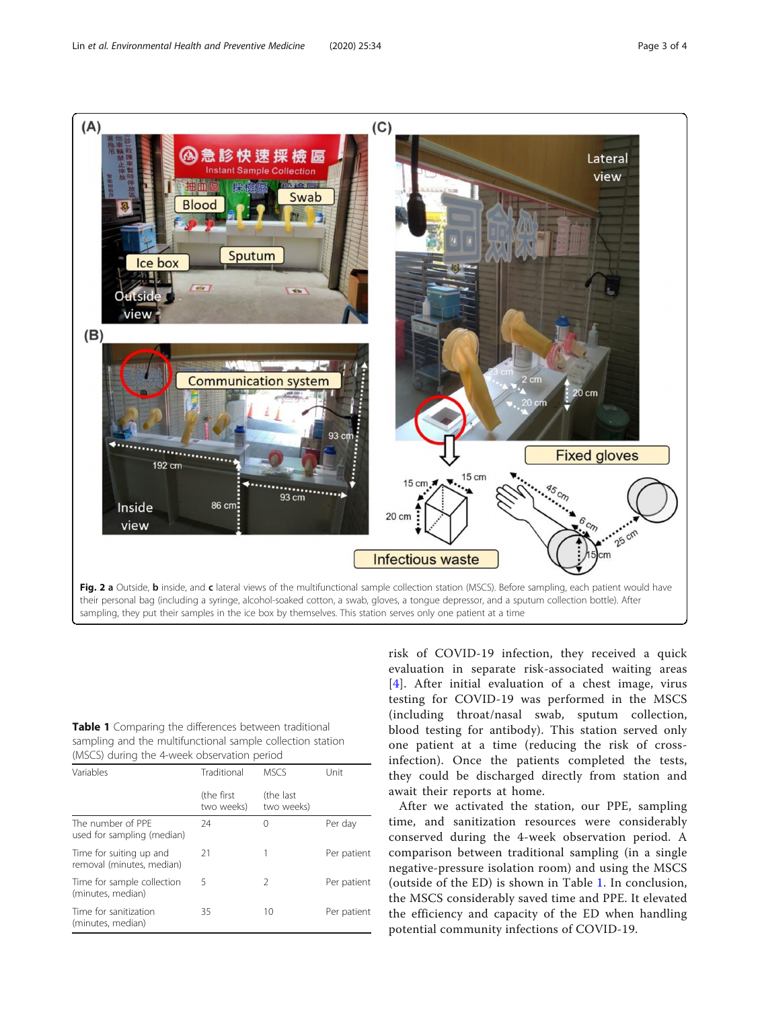<span id="page-2-0"></span>

Table 1 Comparing the differences between traditional sampling and the multifunctional sample collection station (MSCS) during the 4-week observation period

| Variables                                            | Traditional<br>(the first)<br>two weeks) | <b>MSCS</b><br>(the last)<br>two weeks) | Unit        |
|------------------------------------------------------|------------------------------------------|-----------------------------------------|-------------|
|                                                      |                                          |                                         |             |
| Time for suiting up and<br>removal (minutes, median) | 21                                       | 1                                       | Per patient |
| Time for sample collection<br>(minutes, median)      | 5                                        | $\mathcal{P}$                           | Per patient |
| Time for sanitization<br>(minutes, median)           | 35                                       | 10                                      | Per patient |

risk of COVID-19 infection, they received a quick evaluation in separate risk-associated waiting areas [[4](#page-3-0)]. After initial evaluation of a chest image, virus testing for COVID-19 was performed in the MSCS (including throat/nasal swab, sputum collection, blood testing for antibody). This station served only one patient at a time (reducing the risk of crossinfection). Once the patients completed the tests, they could be discharged directly from station and await their reports at home.

After we activated the station, our PPE, sampling time, and sanitization resources were considerably conserved during the 4-week observation period. A comparison between traditional sampling (in a single negative-pressure isolation room) and using the MSCS (outside of the ED) is shown in Table 1. In conclusion, the MSCS considerably saved time and PPE. It elevated the efficiency and capacity of the ED when handling potential community infections of COVID-19.